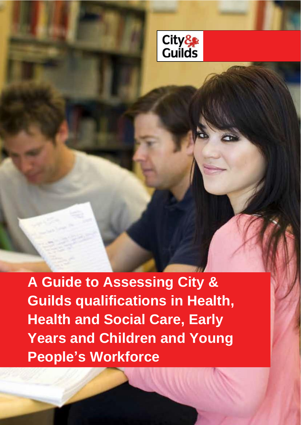

**A Guide to Assessing City & Guilds qualifications in Health, Health and Social Care, Early Years and Children and Young People's Workforce**

[Type here]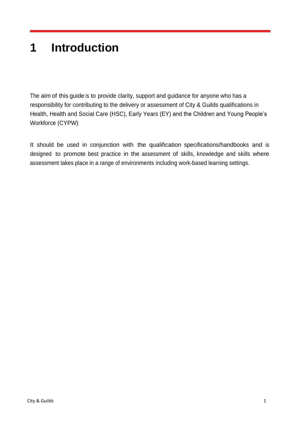# **1 Introduction**

The aim of this guide is to provide clarity, support and guidance for anyone who has a responsibility for contributing to the delivery or assessment of City & Guilds qualifications in Health, Health and Social Care (HSC), Early Years (EY) and the Children and Young People's Workforce (CYPW)

It should be used in conjunction with the qualification specifications/handbooks and is designed to promote best practice in the assessment of skills, knowledge and skills where assessment takes place in a range of environments including work-based learning settings.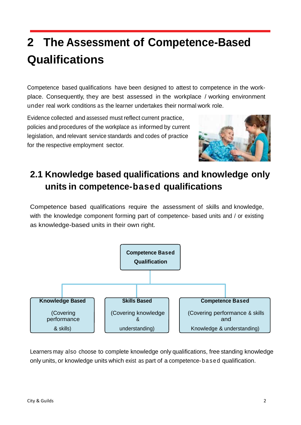# **2 The Assessment of Competence-Based Qualifications**

Competence based qualifications have been designed to attest to competence in the workplace. Consequently, they are best assessed in the workplace / working environment under real work conditions as the learner undertakes their normal work role.

Evidence collected and assessed must reflect current practice, policies and procedures of the workplace as informed by current legislation, and relevant service standards and codes of practice for the respective employment sector.



## **2.1 Knowledge based qualifications and knowledge only units in competence-based qualifications**

Competence based qualifications require the assessment of skills and knowledge, with the knowledge component forming part of competence- based units and / or existing as knowledge-based units in their own right.



Learners may also choose to complete knowledge only qualifications, free standing knowledge only units, or knowledge units which exist as part of a competence- ba se d qualification.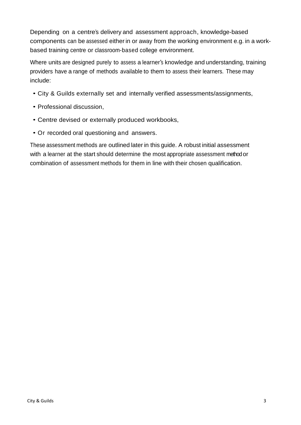Depending on a centre's delivery and assessment approach, knowledge-based components can be assessed either in or away from the working environment e.g. in a workbased training centre or classroom-based college environment.

Where units are designed purely to assess a learner's knowledge and understanding, training providers have a range of methods available to them to assess their learners. These may include:

- City & Guilds externally set and internally verified assessments/assignments,
- Professional discussion,
- Centre devised or externally produced workbooks,
- Or recorded oral questioning and answers.

These assessment methods are outlined later in this guide. A robust initial assessment with a learner at the start should determine the most appropriate assessment method or combination of assessment methods for them in line with their chosen qualification.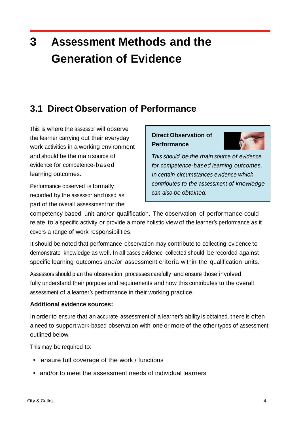# **3 Assessment Methods and the Generation of Evidence**

### **3.1 Direct Observation of Performance**

This is where the assessor will observe the learner carrying out their everyday work activities in a working environment and should be the main source of evidence for competence- b as ed learning outcomes.

Performance observed is formally recorded by the assessor and used as part of the overall assessment for the

### **Direct Observation of Performance**



*This should be the main source of evidence for competence-based learning outcomes. In certain circumstances evidence which contributes to the assessment of knowledge can also be obtained.*

competency based unit and/or qualification. The observation of performance could relate to a specific activity or provide a more holistic view of the learner's performance as it covers a range of work responsibilities.

It should be noted that performance observation may contribute to collecting evidence to demonstrate knowledge as well. In all cases evidence collected should be recorded against specific learning outcomes and/or assessment criteria within the qualification units.

Assessors should plan the observation processes carefully and ensure those involved fully understand their purpose and requirements and how this contributes to the overall assessment of a learner's performance in their working practice.

### **Additional evidence sources:**

In order to ensure that an accurate assessment of a learner's ability is obtained, there is often a need to support work-based observation with one or more of the other types of assessment outlined below.

This may be required to:

- ensure full coverage of the work / functions
- and/or to meet the assessment needs of individual learners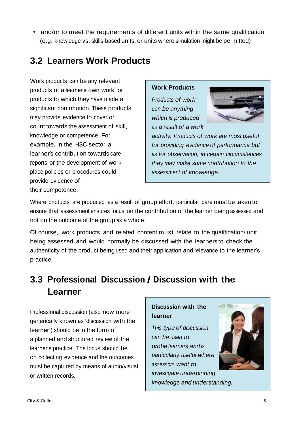• and/or to meet the requirements of different units within the same qualification (e.g. knowledge vs. skills-based units, or units where simulation might be permitted)

### **3.2 Learners Work Products**

Work products can be any relevant products of a learner's own work, or products to which they have made a significant contribution. These products may provide evidence to cover or count towards the assessment of skill, knowledge or competence. For example, in the HSC sector a learner's contribution towards care reports or the development of work place policies or procedures could provide evidence of their competence.

#### **Work Products**

*Products of work can be anything which is produced as a result of a work*



*activity. Products of work are most useful for providing evidence of performance but as for observation, in certain circumstances they may make some contribution to the assessment of knowledge.*

Where products are produced as a result of group effort, particular care must be taken to ensure that assessment ensures focus on the contribution of the learner being assessed and not on the outcome of the group as a whole.

Of course, work products and related content must relate to the qualification/ unit being assessed and would normally be discussed with the learners to check the authenticity of the product being used and their application and relevance to the learner's practice.

## **3.3 Professional Discussion / Discussion with the Learner**

Professional discussion (also now more generically known as 'discussion with the learner') should be in the form of a planned and structured review of the learner's practice. The focus should be on collecting evidence and the outcomes must be captured by means of audio/visual or written records.

### **Discussion with the learner**

*This type of discussion can be used to probe learners and is particularly useful where assessors want to investigate underpinning knowledge and understanding.*

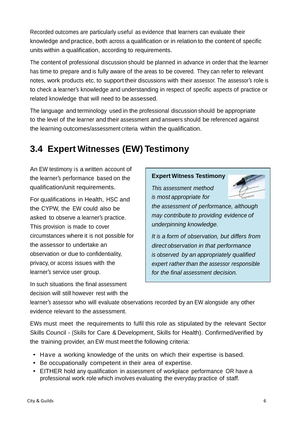Recorded outcomes are particularly useful as evidence that learners can evaluate their knowledge and practice, both across a qualification or in relation to the content of specific units within a qualification, according to requirements.

The content of professional discussion should be planned in advance in order that the learner has time to prepare and is fully aware of the areas to be covered. They can refer to relevant notes, work products etc. to support their discussions with their assessor. The assessor's role is to check a learner's knowledge and understanding in respect of specific aspects of practice or related knowledge that will need to be assessed.

The language and terminology used in the professional discussion should be appropriate to the level of the learner and their assessment and answers should be referenced against the learning outcomes/assessment criteria within the qualification.

## **3.4 Expert Witnesses (EW) Testimony**

An EW testimony is a written account of the learner's performance based on the qualification/unit requirements.

For qualifications in Health, HSC and the CYPW, the EW could also be asked to observe a learner's practice. This provision is made to cover circumstances where it is not possible for the assessor to undertake an observation or due to confidentiality, privacy, or access issues with the learner's service user group.

In such situations the final assessment decision will still however rest with the

### **Expert Witness Testimony**

*This assessment method is most appropriate for*



*the assessment of performance, although may contribute to providing evidence of underpinning knowledge.*

*It is a form of observation, but differs from direct observation in that performance is observed by an appropriately qualified expert rather than the assessor responsible for the final assessment decision.*

learner's assessor who will evaluate observations recorded by an EW alongside any other evidence relevant to the assessment.

EWs must meet the requirements to fulfil this role as stipulated by the relevant Sector Skills Council - (Skills for Care & Development, Skills for Health). Confirmed/verified by the training provider, an EW must meet the following criteria:

- Have a working knowledge of the units on which their expertise is based.
- Be occupationally competent in their area of expertise.
- EITHER hold any qualification in assessment of workplace performance OR have a professional work role which involves evaluating the everyday practice of staff.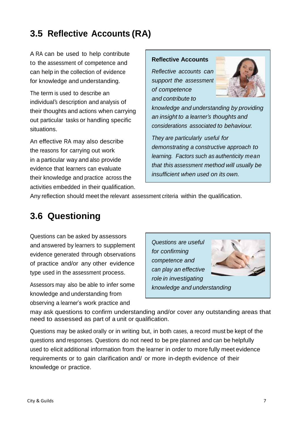### **3.5 Reflective Accounts (RA)**

A RA can be used to help contribute to the assessment of competence and can help in the collection of evidence for knowledge and understanding.

The term is used to describe an individual's description and analysis of their thoughts and actions when carrying out particular tasks or handling specific situations.

An effective RA may also describe the reasons for carrying out work in a particular way and also provide evidence that learners can evaluate their knowledge and practice across the activities embedded in their qualification.

#### **Reflective Accounts**

*Reflective accounts can support the assessment of competence and contribute to*



*knowledge and understanding by providing an insight to a learner's thoughts and considerations associated to behaviour.*

*They are particularly useful for demonstrating a constructive approach to learning. Factors such as authenticity mean that this assessment method will usually be insufficient when used on its own.*

Any reflection should meet the relevant assessment criteria within the qualification.

### **3.6 Questioning**

Questions can be asked by assessors and answered by learners to supplement evidence generated through observations of practice and/or any other evidence type used in the assessment process.

Assessors may also be able to infer some knowledge and understanding from observing a learner's work practice and

*Questions are useful for confirming competence and can play an effective role in investigating knowledge and understanding*



may ask questions to confirm understanding and/or cover any outstanding areas that need to assessed as part of a unit or qualification.

Questions may be asked orally or in writing but, in both cases, a record must be kept of the questions and responses. Questions do not need to be pre planned and can be helpfully used to elicit additional information from the learner in order to more fully meet evidence requirements or to gain clarification and/ or more in-depth evidence of their knowledge or practice.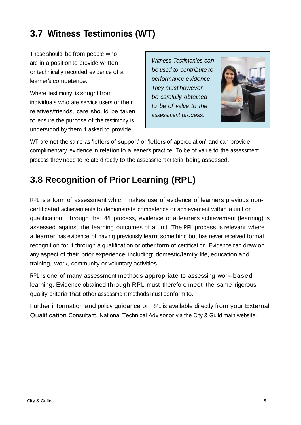### **3.7 Witness Testimonies (WT)**

These should be from people who are in a position to provide written or technically recorded evidence of a learner's competence.

Where testimony is sought from individuals who are service users or their relatives/friends, care should be taken to ensure the purpose of the testimony is understood by them if asked to provide.

*Witness Testimonies can be used to contribute to performance evidence. They must however be carefully obtained to be of value to the assessment process.*



WT are not the same as 'letters of support' or 'letters of appreciation' and can provide complimentary evidence in relation to a leaner's practice. To be of value to the assessment process they need to relate directly to the assessment criteria being assessed.

### **3.8 Recognition of Prior Learning (RPL)**

RPL is a form of assessment which makes use of evidence of learner's previous noncertificated achievements to demonstrate competence or achievement within a unit or qualification. Through the RPL process, evidence of a leaner's achievement (learning) is assessed against the learning outcomes of a unit. The RPL process is relevant where a learner has evidence of having previously learnt something but has never received formal recognition for it through a qualification or other form of certification. Evidence can draw on any aspect of their prior experience including: domestic/family life, education and training, work, community or voluntary activities.

RPL is one of many assessment methods appropriate to assessing work-based learning. Evidence obtained through RPL must therefore meet the same rigorous quality criteria that other assessment methods must conform to.

Further information and policy guidance on RPL is available directly from your External Qualification Consultant, National Technical Advisor or via the City & Guild main website.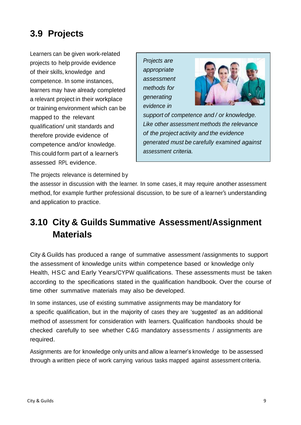## **3.9 Projects**

Learners can be given work-related projects to help provide evidence of their skills, knowledge and competence. In some instances, learners may have already completed a relevant project in their workplace or training environment which can be mapped to the relevant qualification/ unit standards and therefore provide evidence of competence and/or knowledge. This could form part of a learner's assessed RPL evidence.

*Projects are appropriate assessment methods for generating evidence in*



*support of competence and / or knowledge. Like other assessment methods the relevance of the project activity and the evidence generated must be carefully examined against assessment criteria.*

The projects relevance is determined by

the assessor in discussion with the learner. In some cases, it may require another assessment method, for example further professional discussion, to be sure of a learner's understanding and application to practice.

### **3.10 City & Guilds Summative Assessment/Assignment Materials**

City & Guilds has produced a range of summative assessment /assignments to support the assessment of knowledge units within competence based or knowledge only Health, HSC and Early Years/CYPW qualifications. These assessments must be taken according to the specifications stated in the qualification handbook. Over the course of time other summative materials may also be developed.

In some instances, use of existing summative assignments may be mandatory for a specific qualification, but in the majority of cases they are 'suggested' as an additional method of assessment for consideration with learners. Qualification handbooks should be checked carefully to see whether C&G mandatory assessments / assignments are required.

Assignments are for knowledge only units and allow a learner's knowledge to be assessed through a written piece of work carrying various tasks mapped against assessment criteria.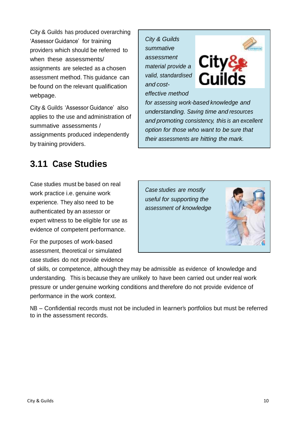City & Guilds has produced overarching 'Assessor Guidance' for training providers which should be referred to when these assessments/ assignments are selected as a chosen assessment method. This guidance can be found on the relevant qualification webpage.

City & Guilds 'Assessor Guidance' also applies to the use and administration of summative assessments / assignments produced independently by training providers.

### *City & Guilds summative assessment material provide a valid, standardised and costeffective method*

*for assessing work-based knowledge and understanding. Saving time and resources and promoting consistency, this is an excellent option for those who want to be sure that their assessments are hitting the mark.*

City&

Guilds

## **3.11 Case Studies**

Case studies must be based on real work practice i.e. genuine work experience. They also need to be authenticated by an assessor or expert witness to be eligible for use as evidence of competent performance.

For the purposes of work-based assessment, theoretical or simulated case studies do not provide evidence

of skills, or competence, although they may be admissible as evidence of knowledge and understanding. This is because they are unlikely to have been carried out under real work pressure or under genuine working conditions and therefore do not provide evidence of performance in the work context.

NB – Confidential records must not be included in learner's portfolios but must be referred to in the assessment records.





*Case studies are mostly useful for supporting the assessment of knowledge*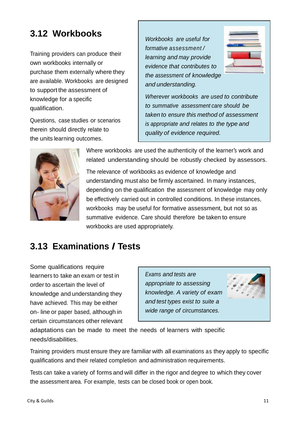### **3.12 Workbooks**

Training providers can produce their own workbooks internally or purchase them externally where they are available. Workbooks are designed to support the assessment of knowledge for a specific qualification.

Questions, case studies or scenarios therein should directly relate to the units learning outcomes.

*Workbooks are useful for formative assessment / learning and may provide evidence that contributes to the assessment of knowledge and understanding.*



*Wherever workbooks are used to contribute to summative assessment care should be taken to ensure this method of assessment is appropriate and relates to the type and quality of evidence required.*



Where workbooks are used the authenticity of the learner's work and related understanding should be robustly checked by assessors.

The relevance of workbooks as evidence of knowledge and understanding must also be firmly ascertained. In many instances, depending on the qualification the assessment of knowledge may only be effectively carried out in controlled conditions. In these instances, workbooks may be useful for formative assessment, but not so as summative evidence. Care should therefore be taken to ensure workbooks are used appropriately.

### **3.13 Examinations / Tests**

Some qualifications require learners to take an exam or test in order to ascertain the level of knowledge and understanding they have achieved. This may be either on- line or paper based, although in certain circumstances other relevant

*Exams and tests are appropriate to assessing knowledge. A variety of exam and test types exist to suite a wide range of circumstances.*



adaptations can be made to meet the needs of learners with specific needs/disabilities.

Training providers must ensure they are familiar with all examinations as they apply to specific qualifications and their related completion and administration requirements.

Tests can take a variety of forms and will differ in the rigor and degree to which they cover the assessment area. For example, tests can be closed book or open book.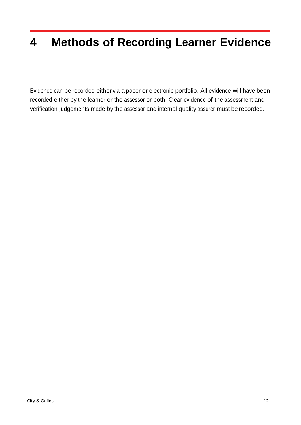# **4 Methods of Recording Learner Evidence**

Evidence can be recorded either via a paper or electronic portfolio. All evidence will have been recorded either by the learner or the assessor or both. Clear evidence of the assessment and verification judgements made by the assessor and internal quality assurer must be recorded.